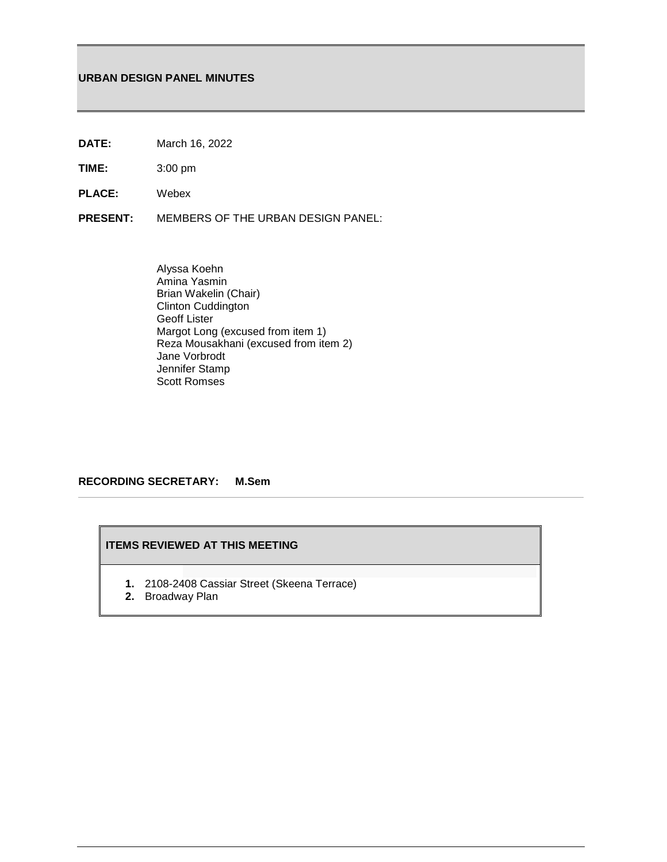# **URBAN DESIGN PANEL MINUTES**

- **DATE:** March 16, 2022
- **TIME:** 3:00 pm
- **PLACE:** Webex
- **PRESENT:** MEMBERS OF THE URBAN DESIGN PANEL:
	- Alyssa Koehn Amina Yasmin Brian Wakelin (Chair) Clinton Cuddington Geoff Lister Margot Long (excused from item 1) Reza Mousakhani (excused from item 2) Jane Vorbrodt Jennifer Stamp Scott Romses

# **RECORDING SECRETARY: M.Sem**

# **ITEMS REVIEWED AT THIS MEETING**

- **1.** 2108-2408 Cassiar Street (Skeena Terrace)
- **2.** Broadway Plan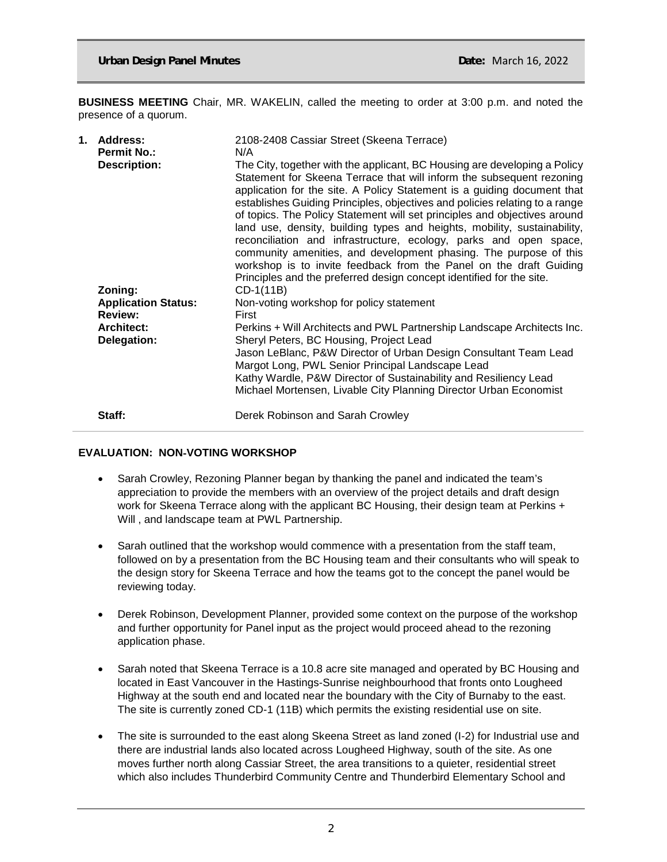**BUSINESS MEETING** Chair, MR. WAKELIN, called the meeting to order at 3:00 p.m. and noted the presence of a quorum.

| 1. | Address:<br><b>Permit No.:</b><br><b>Description:</b>   | 2108-2408 Cassiar Street (Skeena Terrace)<br>N/A<br>The City, together with the applicant, BC Housing are developing a Policy<br>Statement for Skeena Terrace that will inform the subsequent rezoning<br>application for the site. A Policy Statement is a guiding document that<br>establishes Guiding Principles, objectives and policies relating to a range<br>of topics. The Policy Statement will set principles and objectives around<br>land use, density, building types and heights, mobility, sustainability,<br>reconciliation and infrastructure, ecology, parks and open space,<br>community amenities, and development phasing. The purpose of this<br>workshop is to invite feedback from the Panel on the draft Guiding<br>Principles and the preferred design concept identified for the site. |
|----|---------------------------------------------------------|-------------------------------------------------------------------------------------------------------------------------------------------------------------------------------------------------------------------------------------------------------------------------------------------------------------------------------------------------------------------------------------------------------------------------------------------------------------------------------------------------------------------------------------------------------------------------------------------------------------------------------------------------------------------------------------------------------------------------------------------------------------------------------------------------------------------|
|    | Zoning:<br><b>Application Status:</b><br><b>Review:</b> | CD-1(11B)<br>Non-voting workshop for policy statement<br>First                                                                                                                                                                                                                                                                                                                                                                                                                                                                                                                                                                                                                                                                                                                                                    |
|    | <b>Architect:</b><br>Delegation:                        | Perkins + Will Architects and PWL Partnership Landscape Architects Inc.<br>Sheryl Peters, BC Housing, Project Lead                                                                                                                                                                                                                                                                                                                                                                                                                                                                                                                                                                                                                                                                                                |
|    |                                                         | Jason LeBlanc, P&W Director of Urban Design Consultant Team Lead<br>Margot Long, PWL Senior Principal Landscape Lead<br>Kathy Wardle, P&W Director of Sustainability and Resiliency Lead<br>Michael Mortensen, Livable City Planning Director Urban Economist                                                                                                                                                                                                                                                                                                                                                                                                                                                                                                                                                     |
|    | Staff:                                                  | Derek Robinson and Sarah Crowley                                                                                                                                                                                                                                                                                                                                                                                                                                                                                                                                                                                                                                                                                                                                                                                  |

## **EVALUATION: NON**‐**VOTING WORKSHOP**

- Sarah Crowley, Rezoning Planner began by thanking the panel and indicated the team's appreciation to provide the members with an overview of the project details and draft design work for Skeena Terrace along with the applicant BC Housing, their design team at Perkins + Will , and landscape team at PWL Partnership.
- Sarah outlined that the workshop would commence with a presentation from the staff team, followed on by a presentation from the BC Housing team and their consultants who will speak to the design story for Skeena Terrace and how the teams got to the concept the panel would be reviewing today.
- Derek Robinson, Development Planner, provided some context on the purpose of the workshop and further opportunity for Panel input as the project would proceed ahead to the rezoning application phase.
- Sarah noted that Skeena Terrace is a 10.8 acre site managed and operated by BC Housing and located in East Vancouver in the Hastings-Sunrise neighbourhood that fronts onto Lougheed Highway at the south end and located near the boundary with the City of Burnaby to the east. The site is currently zoned CD-1 (11B) which permits the existing residential use on site.
- The site is surrounded to the east along Skeena Street as land zoned (I-2) for Industrial use and there are industrial lands also located across Lougheed Highway, south of the site. As one moves further north along Cassiar Street, the area transitions to a quieter, residential street which also includes Thunderbird Community Centre and Thunderbird Elementary School and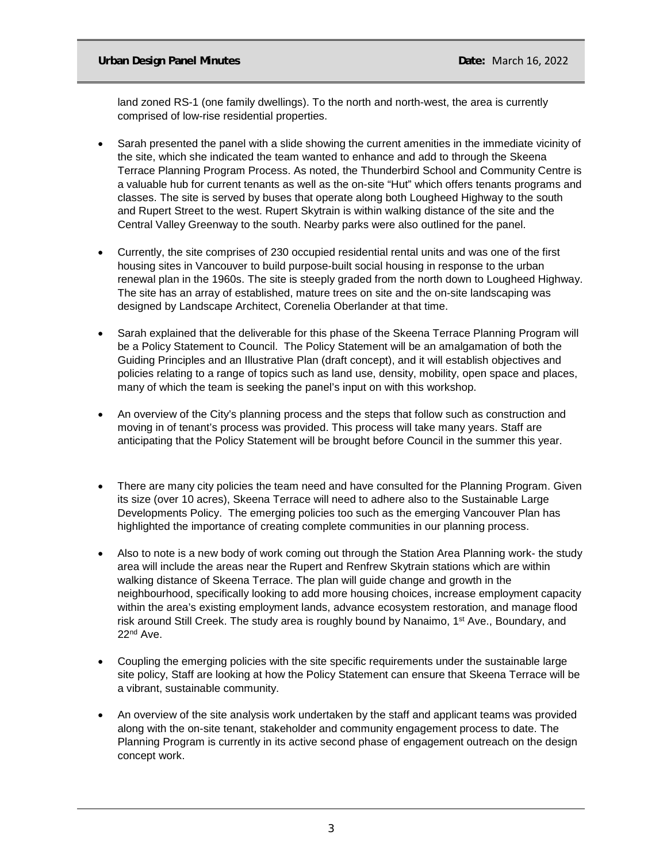# **Urban Design Panel Minutes Community Community Community Community Community Community Community Community Community Community Community Community Community Community Community Community Community Community Community Com**

land zoned RS-1 (one family dwellings). To the north and north-west, the area is currently comprised of low-rise residential properties.

- Sarah presented the panel with a slide showing the current amenities in the immediate vicinity of the site, which she indicated the team wanted to enhance and add to through the Skeena Terrace Planning Program Process. As noted, the Thunderbird School and Community Centre is a valuable hub for current tenants as well as the on-site "Hut" which offers tenants programs and classes. The site is served by buses that operate along both Lougheed Highway to the south and Rupert Street to the west. Rupert Skytrain is within walking distance of the site and the Central Valley Greenway to the south. Nearby parks were also outlined for the panel.
- Currently, the site comprises of 230 occupied residential rental units and was one of the first housing sites in Vancouver to build purpose-built social housing in response to the urban renewal plan in the 1960s. The site is steeply graded from the north down to Lougheed Highway. The site has an array of established, mature trees on site and the on-site landscaping was designed by Landscape Architect, Corenelia Oberlander at that time.
- Sarah explained that the deliverable for this phase of the Skeena Terrace Planning Program will be a Policy Statement to Council. The Policy Statement will be an amalgamation of both the Guiding Principles and an Illustrative Plan (draft concept), and it will establish objectives and policies relating to a range of topics such as land use, density, mobility, open space and places, many of which the team is seeking the panel's input on with this workshop.
- An overview of the City's planning process and the steps that follow such as construction and moving in of tenant's process was provided. This process will take many years. Staff are anticipating that the Policy Statement will be brought before Council in the summer this year.
- There are many city policies the team need and have consulted for the Planning Program. Given its size (over 10 acres), Skeena Terrace will need to adhere also to the Sustainable Large Developments Policy. The emerging policies too such as the emerging Vancouver Plan has highlighted the importance of creating complete communities in our planning process.
- Also to note is a new body of work coming out through the Station Area Planning work- the study area will include the areas near the Rupert and Renfrew Skytrain stations which are within walking distance of Skeena Terrace. The plan will guide change and growth in the neighbourhood, specifically looking to add more housing choices, increase employment capacity within the area's existing employment lands, advance ecosystem restoration, and manage flood risk around Still Creek. The study area is roughly bound by Nanaimo, 1<sup>st</sup> Ave., Boundary, and 22nd Ave.
- Coupling the emerging policies with the site specific requirements under the sustainable large site policy, Staff are looking at how the Policy Statement can ensure that Skeena Terrace will be a vibrant, sustainable community.
- An overview of the site analysis work undertaken by the staff and applicant teams was provided along with the on-site tenant, stakeholder and community engagement process to date. The Planning Program is currently in its active second phase of engagement outreach on the design concept work.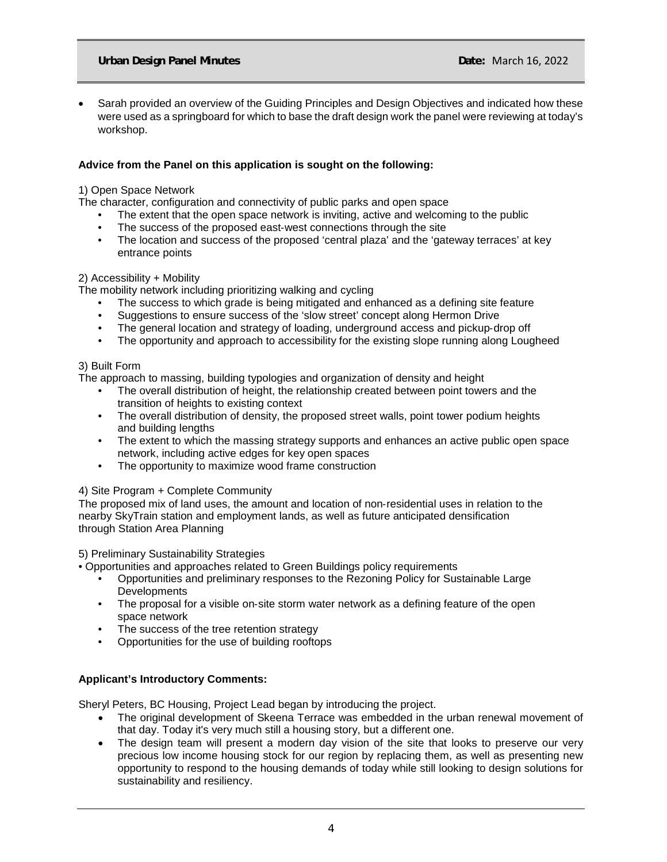• Sarah provided an overview of the Guiding Principles and Design Objectives and indicated how these were used as a springboard for which to base the draft design work the panel were reviewing at today's workshop.

# **Advice from the Panel on this application is sought on the following:**

# 1) Open Space Network

The character, configuration and connectivity of public parks and open space

- The extent that the open space network is inviting, active and welcoming to the public
- The success of the proposed east-west connections through the site
- The location and success of the proposed 'central plaza' and the 'gateway terraces' at key entrance points

# 2) Accessibility + Mobility

The mobility network including prioritizing walking and cycling

- The success to which grade is being mitigated and enhanced as a defining site feature
- Suggestions to ensure success of the 'slow street' concept along Hermon Drive
- The general location and strategy of loading, underground access and pickup-drop off
- The opportunity and approach to accessibility for the existing slope running along Lougheed

# 3) Built Form

The approach to massing, building typologies and organization of density and height

- The overall distribution of height, the relationship created between point towers and the transition of heights to existing context
- The overall distribution of density, the proposed street walls, point tower podium heights and building lengths
- The extent to which the massing strategy supports and enhances an active public open space network, including active edges for key open spaces
- The opportunity to maximize wood frame construction

# 4) Site Program + Complete Community

The proposed mix of land uses, the amount and location of non‐residential uses in relation to the nearby SkyTrain station and employment lands, as well as future anticipated densification through Station Area Planning

## 5) Preliminary Sustainability Strategies

• Opportunities and approaches related to Green Buildings policy requirements

- Opportunities and preliminary responses to the Rezoning Policy for Sustainable Large **Developments**
- The proposal for a visible on-site storm water network as a defining feature of the open space network
- The success of the tree retention strategy
- Opportunities for the use of building rooftops

# **Applicant's Introductory Comments:**

Sheryl Peters, BC Housing, Project Lead began by introducing the project.

- The original development of Skeena Terrace was embedded in the urban renewal movement of that day. Today it's very much still a housing story, but a different one.
- The design team will present a modern day vision of the site that looks to preserve our very precious low income housing stock for our region by replacing them, as well as presenting new opportunity to respond to the housing demands of today while still looking to design solutions for sustainability and resiliency.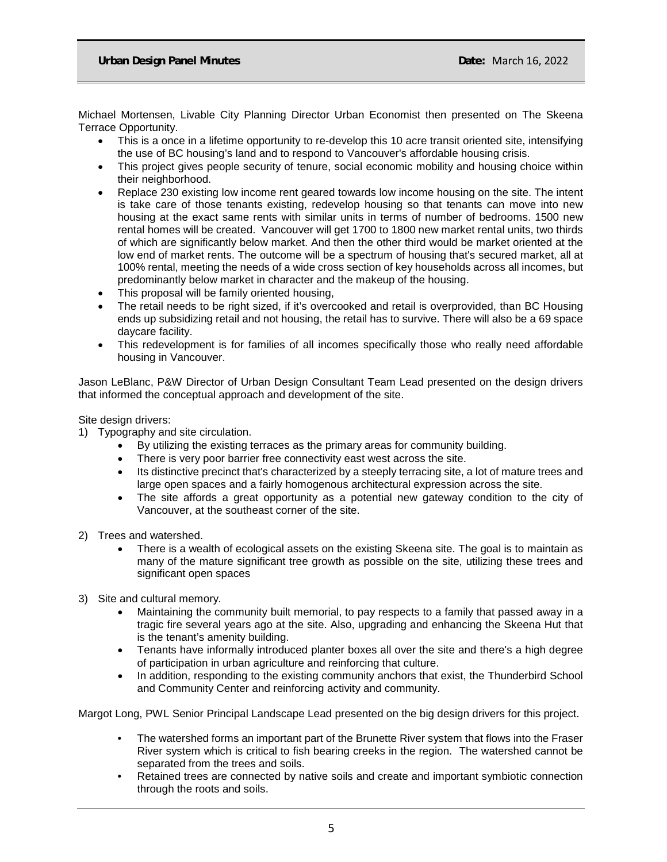Michael Mortensen, Livable City Planning Director Urban Economist then presented on The Skeena Terrace Opportunity.

- This is a once in a lifetime opportunity to re-develop this 10 acre transit oriented site, intensifying the use of BC housing's land and to respond to Vancouver's affordable housing crisis.
- This project gives people security of tenure, social economic mobility and housing choice within their neighborhood.
- Replace 230 existing low income rent geared towards low income housing on the site. The intent is take care of those tenants existing, redevelop housing so that tenants can move into new housing at the exact same rents with similar units in terms of number of bedrooms. 1500 new rental homes will be created. Vancouver will get 1700 to 1800 new market rental units, two thirds of which are significantly below market. And then the other third would be market oriented at the low end of market rents. The outcome will be a spectrum of housing that's secured market, all at 100% rental, meeting the needs of a wide cross section of key households across all incomes, but predominantly below market in character and the makeup of the housing.
- This proposal will be family oriented housing,
- The retail needs to be right sized, if it's overcooked and retail is overprovided, than BC Housing ends up subsidizing retail and not housing, the retail has to survive. There will also be a 69 space daycare facility.
- This redevelopment is for families of all incomes specifically those who really need affordable housing in Vancouver.

Jason LeBlanc, P&W Director of Urban Design Consultant Team Lead presented on the design drivers that informed the conceptual approach and development of the site.

Site design drivers:

- 1) Typography and site circulation.
	- By utilizing the existing terraces as the primary areas for community building.
	- There is very poor barrier free connectivity east west across the site.
	- Its distinctive precinct that's characterized by a steeply terracing site, a lot of mature trees and large open spaces and a fairly homogenous architectural expression across the site.
	- The site affords a great opportunity as a potential new gateway condition to the city of Vancouver, at the southeast corner of the site.
- 2) Trees and watershed.
	- There is a wealth of ecological assets on the existing Skeena site. The goal is to maintain as many of the mature significant tree growth as possible on the site, utilizing these trees and significant open spaces
- 3) Site and cultural memory.
	- Maintaining the community built memorial, to pay respects to a family that passed away in a tragic fire several years ago at the site. Also, upgrading and enhancing the Skeena Hut that is the tenant's amenity building.
	- Tenants have informally introduced planter boxes all over the site and there's a high degree of participation in urban agriculture and reinforcing that culture.
	- In addition, responding to the existing community anchors that exist, the Thunderbird School and Community Center and reinforcing activity and community.

Margot Long, PWL Senior Principal Landscape Lead presented on the big design drivers for this project.

- The watershed forms an important part of the Brunette River system that flows into the Fraser River system which is critical to fish bearing creeks in the region. The watershed cannot be separated from the trees and soils.
- Retained trees are connected by native soils and create and important symbiotic connection through the roots and soils.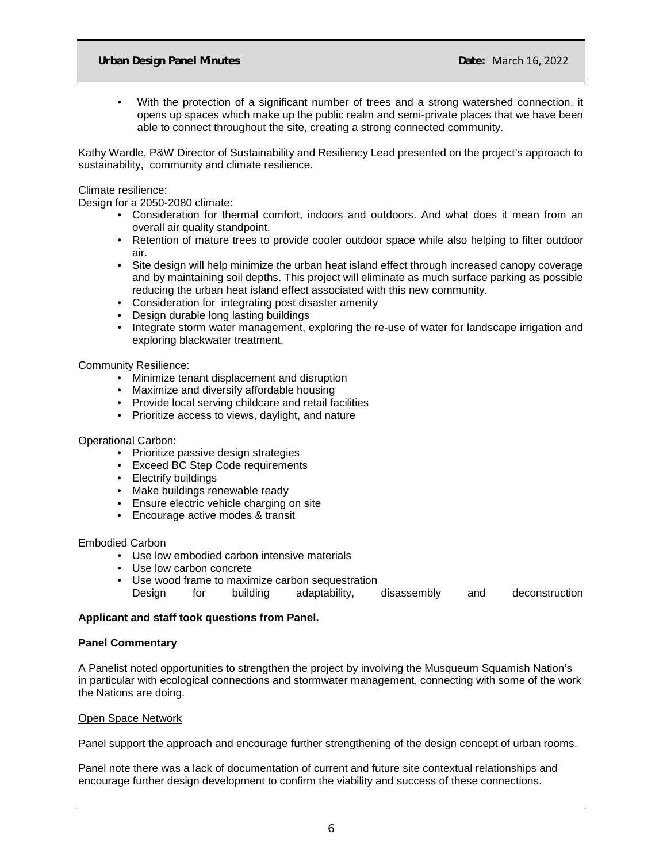• With the protection of a significant number of trees and a strong watershed connection, it opens up spaces which make up the public realm and semi-private places that we have been able to connect throughout the site, creating a strong connected community.

Kathy Wardle, P&W Director of Sustainability and Resiliency Lead presented on the project's approach to sustainability, community and climate resilience.

#### Climate resilience:

Design for a 2050-2080 climate:

- Consideration for thermal comfort, indoors and outdoors. And what does it mean from an overall air quality standpoint.
- Retention of mature trees to provide cooler outdoor space while also helping to filter outdoor air.
- Site design will help minimize the urban heat island effect through increased canopy coverage and by maintaining soil depths. This project will eliminate as much surface parking as possible reducing the urban heat island effect associated with this new community.
- Consideration for integrating post disaster amenity
- Design durable long lasting buildings
- Integrate storm water management, exploring the re-use of water for landscape irrigation and exploring blackwater treatment.

## Community Resilience:

- Minimize tenant displacement and disruption
- Maximize and diversify affordable housing
- Provide local serving childcare and retail facilities
- Prioritize access to views, daylight, and nature

## Operational Carbon:

- Prioritize passive design strategies
- Exceed BC Step Code requirements
- Electrify buildings
- Make buildings renewable ready
- Ensure electric vehicle charging on site
- Encourage active modes & transit

#### Embodied Carbon

- Use low embodied carbon intensive materials
- Use low carbon concrete
- Use wood frame to maximize carbon sequestration<br>Design for building adaptability, adaptability, disassembly and deconstruction

## **Applicant and staff took questions from Panel.**

## **Panel Commentary**

A Panelist noted opportunities to strengthen the project by involving the Musqueum Squamish Nation's in particular with ecological connections and stormwater management, connecting with some of the work the Nations are doing.

## Open Space Network

Panel support the approach and encourage further strengthening of the design concept of urban rooms.

Panel note there was a lack of documentation of current and future site contextual relationships and encourage further design development to confirm the viability and success of these connections.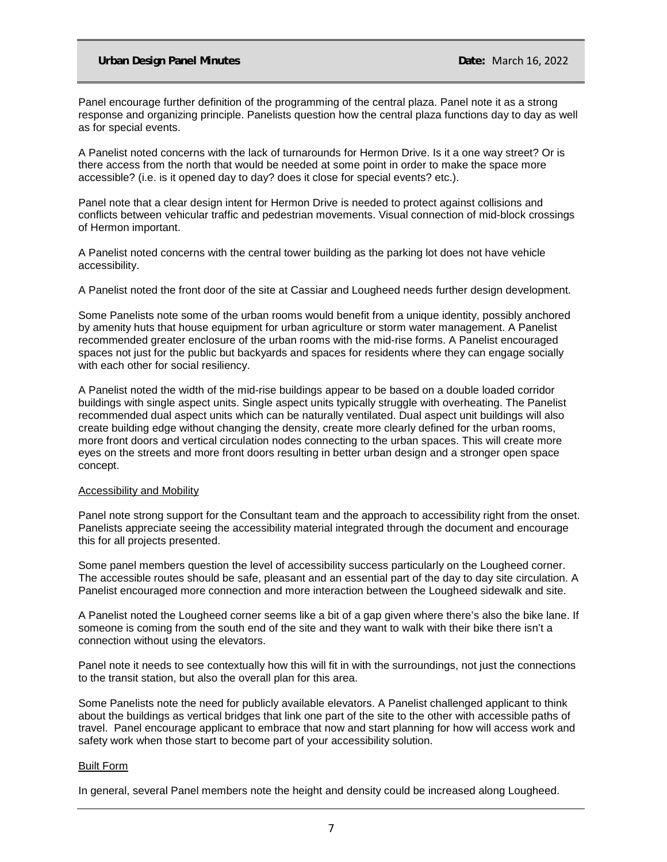Panel encourage further definition of the programming of the central plaza. Panel note it as a strong response and organizing principle. Panelists question how the central plaza functions day to day as well as for special events.

A Panelist noted concerns with the lack of turnarounds for Hermon Drive. Is it a one way street? Or is there access from the north that would be needed at some point in order to make the space more accessible? (i.e. is it opened day to day? does it close for special events? etc.).

Panel note that a clear design intent for Hermon Drive is needed to protect against collisions and conflicts between vehicular traffic and pedestrian movements. Visual connection of mid-block crossings of Hermon important.

A Panelist noted concerns with the central tower building as the parking lot does not have vehicle accessibility.

A Panelist noted the front door of the site at Cassiar and Lougheed needs further design development.

Some Panelists note some of the urban rooms would benefit from a unique identity, possibly anchored by amenity huts that house equipment for urban agriculture or storm water management. A Panelist recommended greater enclosure of the urban rooms with the mid-rise forms. A Panelist encouraged spaces not just for the public but backyards and spaces for residents where they can engage socially with each other for social resiliency.

A Panelist noted the width of the mid-rise buildings appear to be based on a double loaded corridor buildings with single aspect units. Single aspect units typically struggle with overheating. The Panelist recommended dual aspect units which can be naturally ventilated. Dual aspect unit buildings will also create building edge without changing the density, create more clearly defined for the urban rooms, more front doors and vertical circulation nodes connecting to the urban spaces. This will create more eyes on the streets and more front doors resulting in better urban design and a stronger open space concept.

#### Accessibility and Mobility

Panel note strong support for the Consultant team and the approach to accessibility right from the onset. Panelists appreciate seeing the accessibility material integrated through the document and encourage this for all projects presented.

Some panel members question the level of accessibility success particularly on the Lougheed corner. The accessible routes should be safe, pleasant and an essential part of the day to day site circulation. A Panelist encouraged more connection and more interaction between the Lougheed sidewalk and site.

A Panelist noted the Lougheed corner seems like a bit of a gap given where there's also the bike lane. If someone is coming from the south end of the site and they want to walk with their bike there isn't a connection without using the elevators.

Panel note it needs to see contextually how this will fit in with the surroundings, not just the connections to the transit station, but also the overall plan for this area.

Some Panelists note the need for publicly available elevators. A Panelist challenged applicant to think about the buildings as vertical bridges that link one part of the site to the other with accessible paths of travel. Panel encourage applicant to embrace that now and start planning for how will access work and safety work when those start to become part of your accessibility solution.

## Built Form

In general, several Panel members note the height and density could be increased along Lougheed.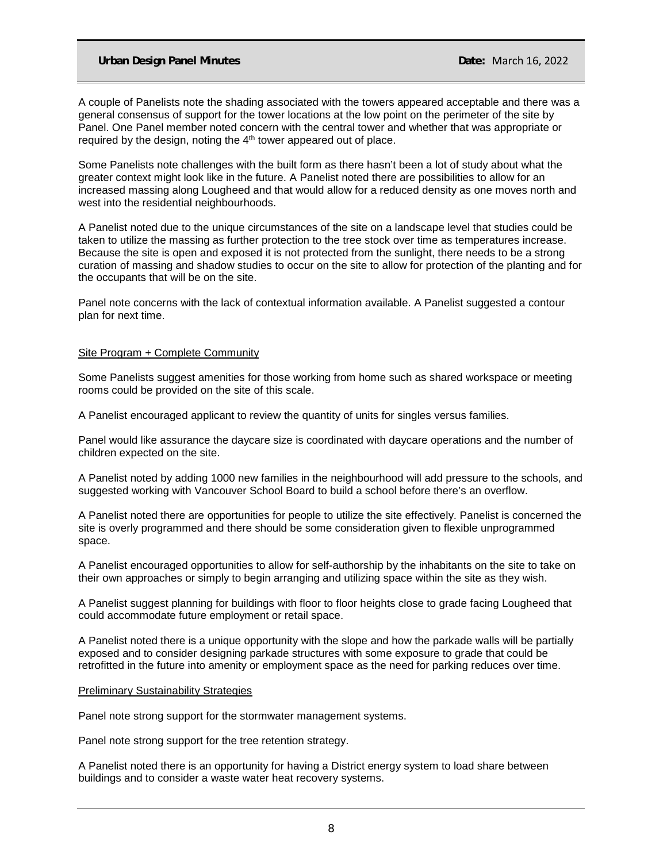A couple of Panelists note the shading associated with the towers appeared acceptable and there was a general consensus of support for the tower locations at the low point on the perimeter of the site by Panel. One Panel member noted concern with the central tower and whether that was appropriate or required by the design, noting the 4th tower appeared out of place.

Some Panelists note challenges with the built form as there hasn't been a lot of study about what the greater context might look like in the future. A Panelist noted there are possibilities to allow for an increased massing along Lougheed and that would allow for a reduced density as one moves north and west into the residential neighbourhoods.

A Panelist noted due to the unique circumstances of the site on a landscape level that studies could be taken to utilize the massing as further protection to the tree stock over time as temperatures increase. Because the site is open and exposed it is not protected from the sunlight, there needs to be a strong curation of massing and shadow studies to occur on the site to allow for protection of the planting and for the occupants that will be on the site.

Panel note concerns with the lack of contextual information available. A Panelist suggested a contour plan for next time.

#### Site Program + Complete Community

Some Panelists suggest amenities for those working from home such as shared workspace or meeting rooms could be provided on the site of this scale.

A Panelist encouraged applicant to review the quantity of units for singles versus families.

Panel would like assurance the daycare size is coordinated with daycare operations and the number of children expected on the site.

A Panelist noted by adding 1000 new families in the neighbourhood will add pressure to the schools, and suggested working with Vancouver School Board to build a school before there's an overflow.

A Panelist noted there are opportunities for people to utilize the site effectively. Panelist is concerned the site is overly programmed and there should be some consideration given to flexible unprogrammed space.

A Panelist encouraged opportunities to allow for self-authorship by the inhabitants on the site to take on their own approaches or simply to begin arranging and utilizing space within the site as they wish.

A Panelist suggest planning for buildings with floor to floor heights close to grade facing Lougheed that could accommodate future employment or retail space.

A Panelist noted there is a unique opportunity with the slope and how the parkade walls will be partially exposed and to consider designing parkade structures with some exposure to grade that could be retrofitted in the future into amenity or employment space as the need for parking reduces over time.

#### Preliminary Sustainability Strategies

Panel note strong support for the stormwater management systems.

Panel note strong support for the tree retention strategy.

A Panelist noted there is an opportunity for having a District energy system to load share between buildings and to consider a waste water heat recovery systems.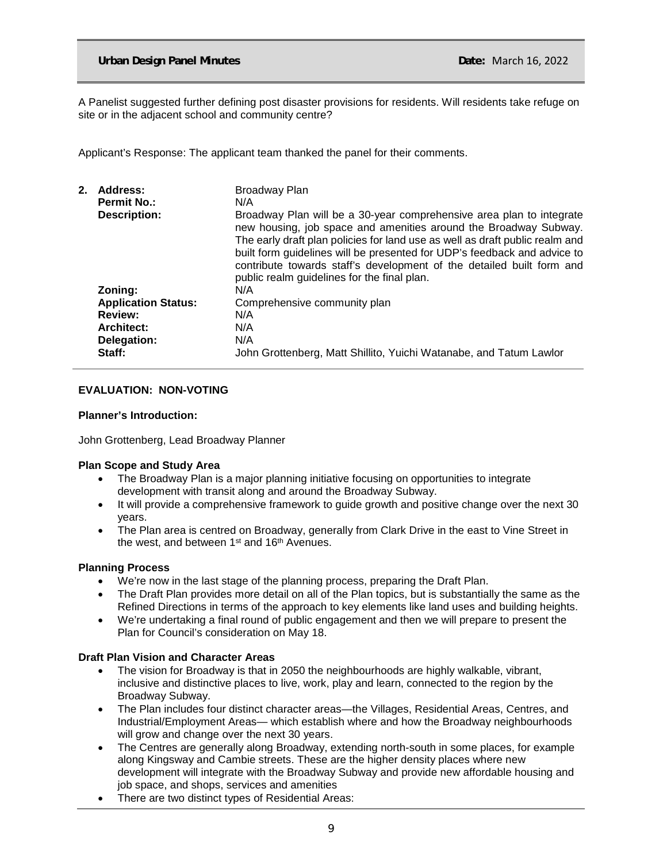A Panelist suggested further defining post disaster provisions for residents. Will residents take refuge on site or in the adjacent school and community centre?

Applicant's Response: The applicant team thanked the panel for their comments.

| 2. | Address:                   | Broadway Plan                                                                                                                                                                                                                                                                                                                                                                                                                |
|----|----------------------------|------------------------------------------------------------------------------------------------------------------------------------------------------------------------------------------------------------------------------------------------------------------------------------------------------------------------------------------------------------------------------------------------------------------------------|
|    | <b>Permit No.:</b>         | N/A                                                                                                                                                                                                                                                                                                                                                                                                                          |
|    | <b>Description:</b>        | Broadway Plan will be a 30-year comprehensive area plan to integrate<br>new housing, job space and amenities around the Broadway Subway.<br>The early draft plan policies for land use as well as draft public realm and<br>built form guidelines will be presented for UDP's feedback and advice to<br>contribute towards staff's development of the detailed built form and<br>public realm guidelines for the final plan. |
|    | Zoning:                    | N/A                                                                                                                                                                                                                                                                                                                                                                                                                          |
|    | <b>Application Status:</b> | Comprehensive community plan                                                                                                                                                                                                                                                                                                                                                                                                 |
|    | <b>Review:</b>             | N/A                                                                                                                                                                                                                                                                                                                                                                                                                          |
|    | <b>Architect:</b>          | N/A                                                                                                                                                                                                                                                                                                                                                                                                                          |
|    | Delegation:                | N/A                                                                                                                                                                                                                                                                                                                                                                                                                          |
|    | Staff:                     | John Grottenberg, Matt Shillito, Yuichi Watanabe, and Tatum Lawlor                                                                                                                                                                                                                                                                                                                                                           |

## **EVALUATION: NON-VOTING**

## **Planner's Introduction:**

John Grottenberg, Lead Broadway Planner

## **Plan Scope and Study Area**

- The Broadway Plan is a major planning initiative focusing on opportunities to integrate development with transit along and around the Broadway Subway.
- It will provide a comprehensive framework to guide growth and positive change over the next 30 years.
- The Plan area is centred on Broadway, generally from Clark Drive in the east to Vine Street in the west, and between 1<sup>st</sup> and 16<sup>th</sup> Avenues.

## **Planning Process**

- We're now in the last stage of the planning process, preparing the Draft Plan.
- The Draft Plan provides more detail on all of the Plan topics, but is substantially the same as the Refined Directions in terms of the approach to key elements like land uses and building heights.
- We're undertaking a final round of public engagement and then we will prepare to present the Plan for Council's consideration on May 18.

## **Draft Plan Vision and Character Areas**

- The vision for Broadway is that in 2050 the neighbourhoods are highly walkable, vibrant, inclusive and distinctive places to live, work, play and learn, connected to the region by the Broadway Subway.
- The Plan includes four distinct character areas—the Villages, Residential Areas, Centres, and Industrial/Employment Areas— which establish where and how the Broadway neighbourhoods will grow and change over the next 30 years.
- The Centres are generally along Broadway, extending north-south in some places, for example along Kingsway and Cambie streets. These are the higher density places where new development will integrate with the Broadway Subway and provide new affordable housing and job space, and shops, services and amenities
- There are two distinct types of Residential Areas: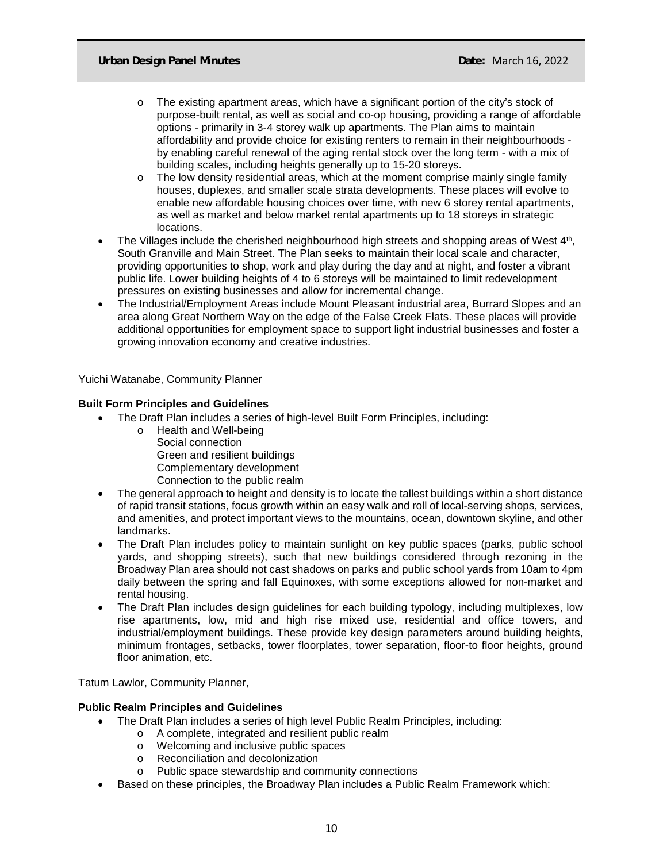- o The existing apartment areas, which have a significant portion of the city's stock of purpose-built rental, as well as social and co-op housing, providing a range of affordable options - primarily in 3-4 storey walk up apartments. The Plan aims to maintain affordability and provide choice for existing renters to remain in their neighbourhoods by enabling careful renewal of the aging rental stock over the long term - with a mix of building scales, including heights generally up to 15-20 storeys.
- $\circ$  The low density residential areas, which at the moment comprise mainly single family houses, duplexes, and smaller scale strata developments. These places will evolve to enable new affordable housing choices over time, with new 6 storey rental apartments, as well as market and below market rental apartments up to 18 storeys in strategic locations.
- The Villages include the cherished neighbourhood high streets and shopping areas of West 4th, South Granville and Main Street. The Plan seeks to maintain their local scale and character, providing opportunities to shop, work and play during the day and at night, and foster a vibrant public life. Lower building heights of 4 to 6 storeys will be maintained to limit redevelopment pressures on existing businesses and allow for incremental change.
- The Industrial/Employment Areas include Mount Pleasant industrial area, Burrard Slopes and an area along Great Northern Way on the edge of the False Creek Flats. These places will provide additional opportunities for employment space to support light industrial businesses and foster a growing innovation economy and creative industries.

Yuichi Watanabe, Community Planner

# **Built Form Principles and Guidelines**

- The Draft Plan includes a series of high-level Built Form Principles, including:
	- o Health and Well-being Social connection Green and resilient buildings Complementary development Connection to the public realm
- The general approach to height and density is to locate the tallest buildings within a short distance of rapid transit stations, focus growth within an easy walk and roll of local-serving shops, services, and amenities, and protect important views to the mountains, ocean, downtown skyline, and other landmarks.
- The Draft Plan includes policy to maintain sunlight on key public spaces (parks, public school yards, and shopping streets), such that new buildings considered through rezoning in the Broadway Plan area should not cast shadows on parks and public school yards from 10am to 4pm daily between the spring and fall Equinoxes, with some exceptions allowed for non-market and rental housing.
- The Draft Plan includes design guidelines for each building typology, including multiplexes, low rise apartments, low, mid and high rise mixed use, residential and office towers, and industrial/employment buildings. These provide key design parameters around building heights, minimum frontages, setbacks, tower floorplates, tower separation, floor-to floor heights, ground floor animation, etc.

Tatum Lawlor, Community Planner,

## **Public Realm Principles and Guidelines**

- The Draft Plan includes a series of high level Public Realm Principles, including:
	- o A complete, integrated and resilient public realm
		- o Welcoming and inclusive public spaces
		- o Reconciliation and decolonization<br>o Public space stewardship and con
	- Public space stewardship and community connections
- Based on these principles, the Broadway Plan includes a Public Realm Framework which: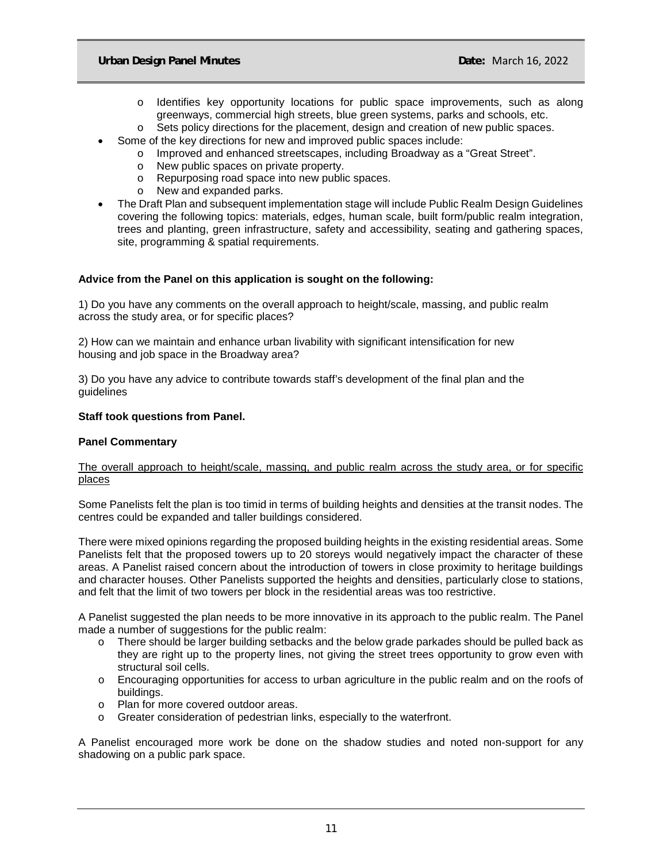- o Identifies key opportunity locations for public space improvements, such as along greenways, commercial high streets, blue green systems, parks and schools, etc.
- $\circ$  Sets policy directions for the placement, design and creation of new public spaces.
- Some of the key directions for new and improved public spaces include:
	- o Improved and enhanced streetscapes, including Broadway as a "Great Street".<br>
	o New public spaces on private property.
		- o New public spaces on private property.<br>
		o Repurposing road space into new public
		- o Repurposing road space into new public spaces.<br>○ New and expanded parks.
		- New and expanded parks.
- The Draft Plan and subsequent implementation stage will include Public Realm Design Guidelines covering the following topics: materials, edges, human scale, built form/public realm integration, trees and planting, green infrastructure, safety and accessibility, seating and gathering spaces, site, programming & spatial requirements.

# **Advice from the Panel on this application is sought on the following:**

1) Do you have any comments on the overall approach to height/scale, massing, and public realm across the study area, or for specific places?

2) How can we maintain and enhance urban livability with significant intensification for new housing and job space in the Broadway area?

3) Do you have any advice to contribute towards staff's development of the final plan and the guidelines

# **Staff took questions from Panel.**

# **Panel Commentary**

# The overall approach to height/scale, massing, and public realm across the study area, or for specific places

Some Panelists felt the plan is too timid in terms of building heights and densities at the transit nodes. The centres could be expanded and taller buildings considered.

There were mixed opinions regarding the proposed building heights in the existing residential areas. Some Panelists felt that the proposed towers up to 20 storeys would negatively impact the character of these areas. A Panelist raised concern about the introduction of towers in close proximity to heritage buildings and character houses. Other Panelists supported the heights and densities, particularly close to stations, and felt that the limit of two towers per block in the residential areas was too restrictive.

A Panelist suggested the plan needs to be more innovative in its approach to the public realm. The Panel made a number of suggestions for the public realm:

- o There should be larger building setbacks and the below grade parkades should be pulled back as they are right up to the property lines, not giving the street trees opportunity to grow even with structural soil cells.
- o Encouraging opportunities for access to urban agriculture in the public realm and on the roofs of buildings.
- o Plan for more covered outdoor areas.
- o Greater consideration of pedestrian links, especially to the waterfront.

A Panelist encouraged more work be done on the shadow studies and noted non-support for any shadowing on a public park space.